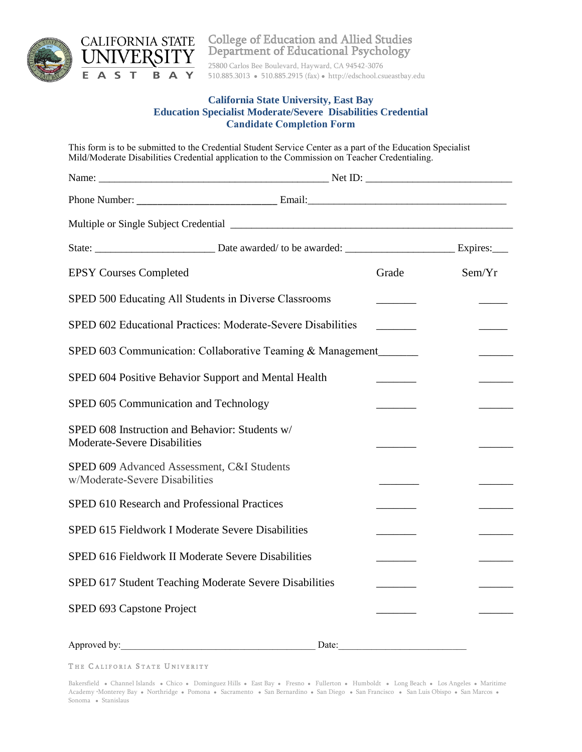

College of Education and Allied Studies Department of Educational Psychology

25800 Carlos Bee Boulevard, Hayward, CA 94542-3076 510.885.3013 510.885.2915 (fax) http://edschool.csueastbay.edu

## **California State University, East Bay Education Specialist Moderate/Severe Disabilities Credential Candidate Completion Form**

This form is to be submitted to the Credential Student Service Center as a part of the Education Specialist Mild/Moderate Disabilities Credential application to the Commission on Teacher Credentialing.

| <b>EPSY Courses Completed</b>                                                  |       | Grade | Sem/Yr |
|--------------------------------------------------------------------------------|-------|-------|--------|
| SPED 500 Educating All Students in Diverse Classrooms                          |       |       |        |
| SPED 602 Educational Practices: Moderate-Severe Disabilities                   |       |       |        |
| SPED 603 Communication: Collaborative Teaming & Management                     |       |       |        |
| SPED 604 Positive Behavior Support and Mental Health                           |       |       |        |
| SPED 605 Communication and Technology                                          |       |       |        |
| SPED 608 Instruction and Behavior: Students w/<br>Moderate-Severe Disabilities |       |       |        |
| SPED 609 Advanced Assessment, C&I Students<br>w/Moderate-Severe Disabilities   |       |       |        |
| SPED 610 Research and Professional Practices                                   |       |       |        |
| SPED 615 Fieldwork I Moderate Severe Disabilities                              |       |       |        |
| SPED 616 Fieldwork II Moderate Severe Disabilities                             |       |       |        |
| SPED 617 Student Teaching Moderate Severe Disabilities                         |       |       |        |
| SPED 693 Capstone Project                                                      |       |       |        |
| Approved by:                                                                   | Date: |       |        |

THE CALIFORIA STATE UNIVERITY

Bakersfield • Channel Islands • Chico • Dominguez Hills • East Bay • Fresno • Fullerton • Humboldt • Long Beach • Los Angeles • Maritime Academy •Monterey Bay • Northridge • Pomona • Sacramento • San Bernardino • San Diego • San Francisco • San Luis Obispo • San Marcos • Sonoma · Stanislaus